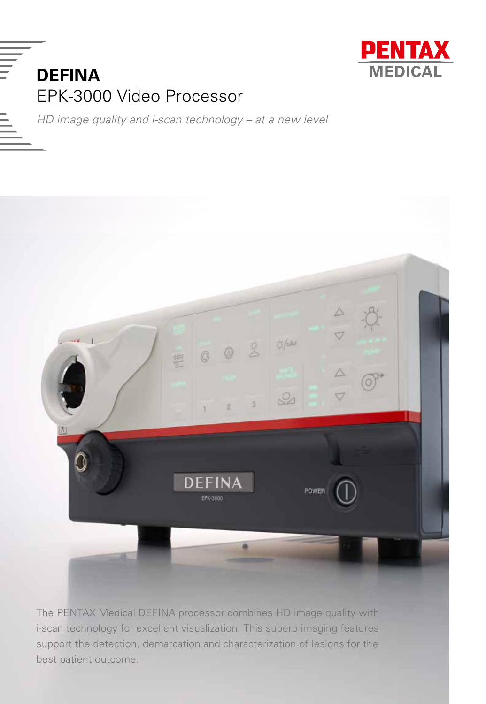



*HD image quality and i-scan technology – at a new level*



The PENTAX Medical DEFINA processor combines HD image quality with i-scan technology for excellent visualization. This superb imaging features support the detection, demarcation and characterization of lesions for the best patient outcome.